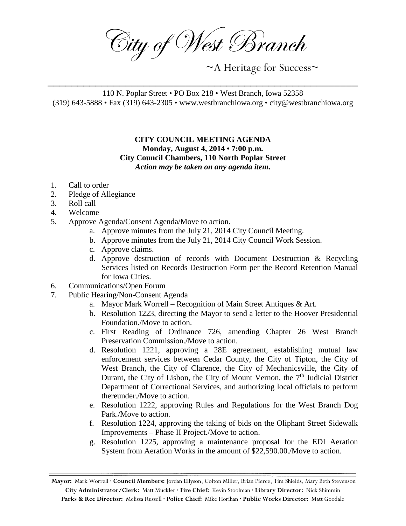City of West Branch

~A Heritage for Success~

110 N. Poplar Street • PO Box 218 • West Branch, Iowa 52358 (319) 643-5888 • Fax (319) 643-2305 • www.westbranchiowa.org • city@westbranchiowa.org

\_\_\_\_\_\_\_\_\_\_\_\_\_\_\_\_\_\_\_\_\_\_\_\_\_\_\_\_\_\_\_\_\_\_\_\_\_\_\_\_\_\_\_\_\_\_\_\_\_\_\_\_

## **CITY COUNCIL MEETING AGENDA Monday, August 4, 2014 • 7:00 p.m. City Council Chambers, 110 North Poplar Street** *Action may be taken on any agenda item.*

- 1. Call to order
- 2. Pledge of Allegiance
- 3. Roll call
- 4. Welcome
- 5. Approve Agenda/Consent Agenda/Move to action.
	- a. Approve minutes from the July 21, 2014 City Council Meeting.
	- b. Approve minutes from the July 21, 2014 City Council Work Session.
	- c. Approve claims.
	- d. Approve destruction of records with Document Destruction & Recycling Services listed on Records Destruction Form per the Record Retention Manual for Iowa Cities.
- 6. Communications/Open Forum
- 7. Public Hearing/Non-Consent Agenda
	- a. Mayor Mark Worrell Recognition of Main Street Antiques & Art.
	- b. Resolution 1223, directing the Mayor to send a letter to the Hoover Presidential Foundation./Move to action.
	- c. First Reading of Ordinance 726, amending Chapter 26 West Branch Preservation Commission./Move to action.
	- d. Resolution 1221, approving a 28E agreement, establishing mutual law enforcement services between Cedar County, the City of Tipton, the City of West Branch, the City of Clarence, the City of Mechanicsville, the City of Durant, the City of Lisbon, the City of Mount Vernon, the  $7<sup>th</sup>$  Judicial District Department of Correctional Services, and authorizing local officials to perform thereunder./Move to action.
	- e. Resolution 1222, approving Rules and Regulations for the West Branch Dog Park./Move to action.
	- f. Resolution 1224, approving the taking of bids on the Oliphant Street Sidewalk Improvements – Phase II Project./Move to action.
	- g. Resolution 1225, approving a maintenance proposal for the EDI Aeration System from Aeration Works in the amount of \$22,590.00./Move to action.

**Mayor:** Mark Worrell **· Council Members:** Jordan Ellyson, Colton Miller, Brian Pierce, Tim Shields, Mary Beth Stevenson **City Administrator/Clerk:** Matt Muckler **· Fire Chief:** Kevin Stoolman **· Library Director:** Nick Shimmin **Parks & Rec Director:** Melissa Russell **· Police Chief:** Mike Horihan **· Public Works Director:** Matt Goodale